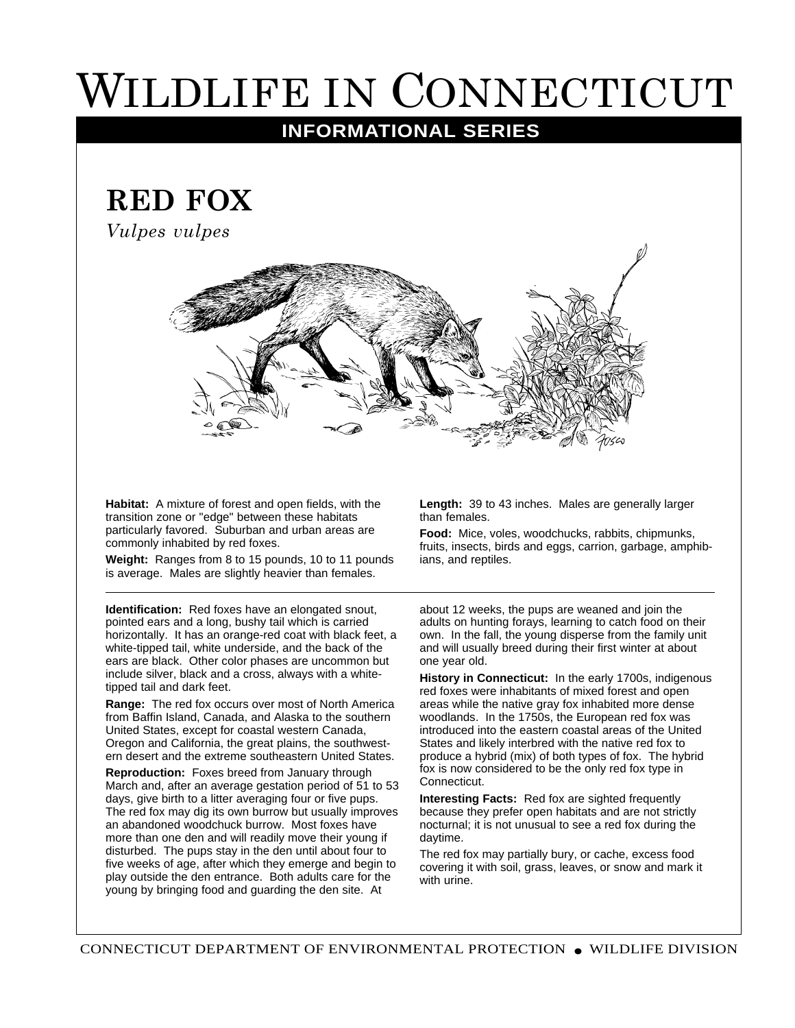## WILDLIFE IN CONNECTICUT

## **INFORMATIONAL SERIES**

## **RED FOX**

*Vulpes vulpes*



**Habitat:** A mixture of forest and open fields, with the transition zone or "edge" between these habitats particularly favored. Suburban and urban areas are commonly inhabited by red foxes.

**Weight:** Ranges from 8 to 15 pounds, 10 to 11 pounds is average. Males are slightly heavier than females.

**Identification:** Red foxes have an elongated snout, pointed ears and a long, bushy tail which is carried horizontally. It has an orange-red coat with black feet, a white-tipped tail, white underside, and the back of the ears are black. Other color phases are uncommon but include silver, black and a cross, always with a whitetipped tail and dark feet.

**Range:** The red fox occurs over most of North America from Baffin Island, Canada, and Alaska to the southern United States, except for coastal western Canada, Oregon and California, the great plains, the southwestern desert and the extreme southeastern United States.

**Reproduction:** Foxes breed from January through March and, after an average gestation period of 51 to 53 days, give birth to a litter averaging four or five pups. The red fox may dig its own burrow but usually improves an abandoned woodchuck burrow. Most foxes have more than one den and will readily move their young if disturbed. The pups stay in the den until about four to five weeks of age, after which they emerge and begin to play outside the den entrance. Both adults care for the young by bringing food and guarding the den site. At

**Length:** 39 to 43 inches. Males are generally larger than females.

**Food:** Mice, voles, woodchucks, rabbits, chipmunks, fruits, insects, birds and eggs, carrion, garbage, amphibians, and reptiles.

about 12 weeks, the pups are weaned and join the adults on hunting forays, learning to catch food on their own. In the fall, the young disperse from the family unit and will usually breed during their first winter at about one year old.

**History in Connecticut:** In the early 1700s, indigenous red foxes were inhabitants of mixed forest and open areas while the native gray fox inhabited more dense woodlands. In the 1750s, the European red fox was introduced into the eastern coastal areas of the United States and likely interbred with the native red fox to produce a hybrid (mix) of both types of fox. The hybrid fox is now considered to be the only red fox type in Connecticut.

**Interesting Facts:** Red fox are sighted frequently because they prefer open habitats and are not strictly nocturnal; it is not unusual to see a red fox during the daytime.

The red fox may partially bury, or cache, excess food covering it with soil, grass, leaves, or snow and mark it with urine.